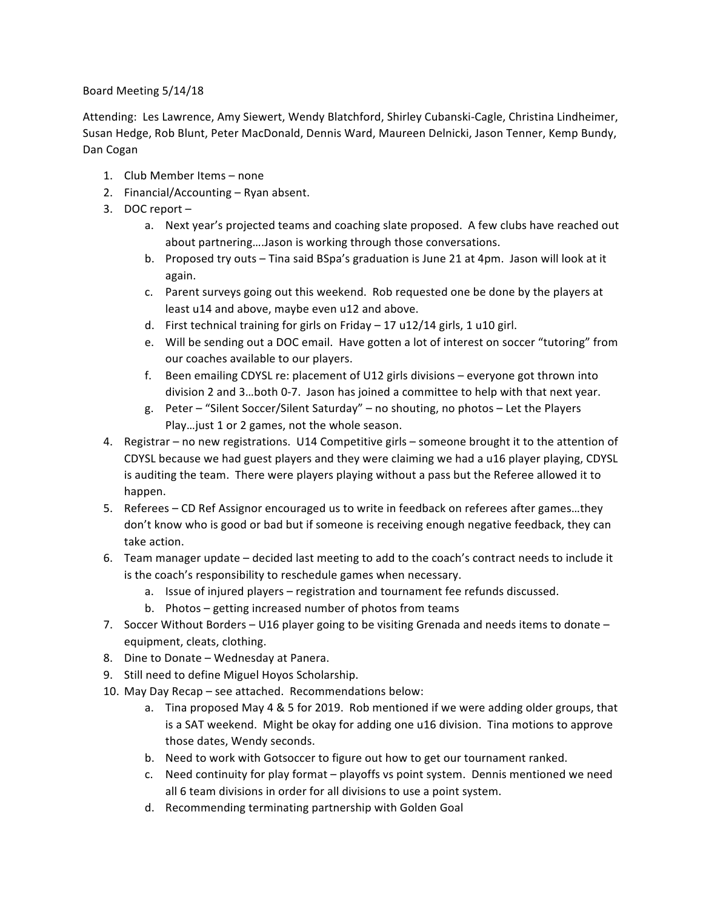## Board Meeting 5/14/18

Attending: Les Lawrence, Amy Siewert, Wendy Blatchford, Shirley Cubanski-Cagle, Christina Lindheimer, Susan Hedge, Rob Blunt, Peter MacDonald, Dennis Ward, Maureen Delnicki, Jason Tenner, Kemp Bundy, Dan Cogan

- 1. Club Member Items none
- 2. Financial/Accounting Ryan absent.
- 3. DOC report
	- a. Next year's projected teams and coaching slate proposed. A few clubs have reached out about partnering....Jason is working through those conversations.
	- b. Proposed try outs Tina said BSpa's graduation is June 21 at 4pm. Jason will look at it again.
	- c. Parent surveys going out this weekend. Rob requested one be done by the players at least u14 and above, maybe even u12 and above.
	- d. First technical training for girls on Friday 17 u12/14 girls, 1 u10 girl.
	- e. Will be sending out a DOC email. Have gotten a lot of interest on soccer "tutoring" from our coaches available to our players.
	- f. Been emailing CDYSL re: placement of U12 girls divisions  $-$  everyone got thrown into division 2 and 3...both 0-7. Jason has joined a committee to help with that next year.
	- g. Peter "Silent Soccer/Silent Saturday" no shouting, no photos Let the Players Play... just 1 or 2 games, not the whole season.
- 4. Registrar no new registrations. U14 Competitive girls someone brought it to the attention of CDYSL because we had guest players and they were claiming we had a u16 player playing, CDYSL is auditing the team. There were players playing without a pass but the Referee allowed it to happen.
- 5. Referees CD Ref Assignor encouraged us to write in feedback on referees after games...they don't know who is good or bad but if someone is receiving enough negative feedback, they can take action.
- 6. Team manager update decided last meeting to add to the coach's contract needs to include it is the coach's responsibility to reschedule games when necessary.
	- a. Issue of injured players registration and tournament fee refunds discussed.
	- b. Photos getting increased number of photos from teams
- 7. Soccer Without Borders U16 player going to be visiting Grenada and needs items to donate equipment, cleats, clothing.
- 8. Dine to Donate Wednesday at Panera.
- 9. Still need to define Miguel Hoyos Scholarship.
- 10. May Day Recap see attached. Recommendations below:
	- a. Tina proposed May 4 & 5 for 2019. Rob mentioned if we were adding older groups, that is a SAT weekend. Might be okay for adding one u16 division. Tina motions to approve those dates, Wendy seconds.
	- b. Need to work with Gotsoccer to figure out how to get our tournament ranked.
	- c. Need continuity for play format playoffs vs point system. Dennis mentioned we need all 6 team divisions in order for all divisions to use a point system.
	- d. Recommending terminating partnership with Golden Goal